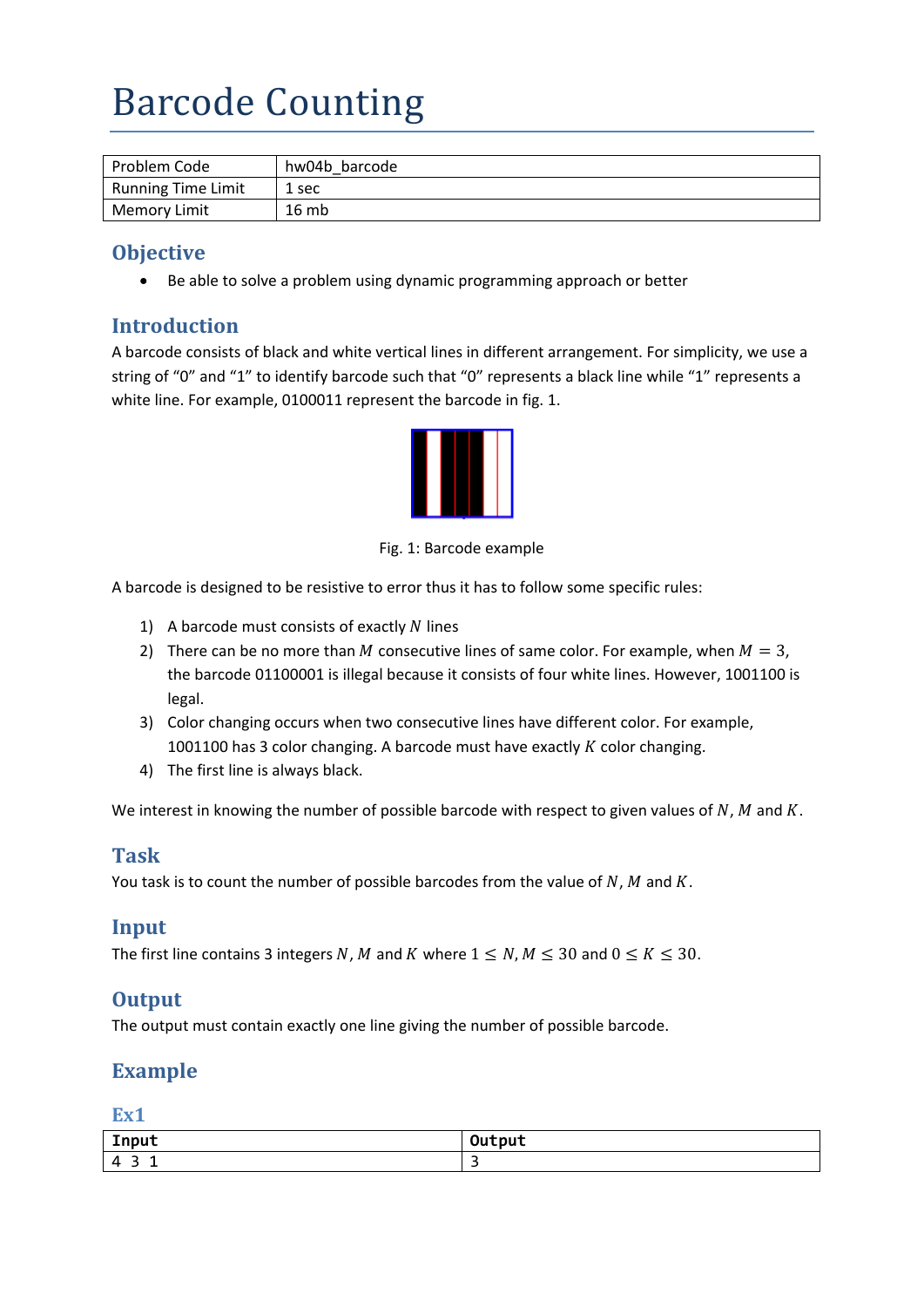# Barcode Counting

| Problem Code              | hw04b barcode |
|---------------------------|---------------|
| <b>Running Time Limit</b> | 1 sec         |
| <b>Memory Limit</b>       | 16mb          |

## **Objective**

• Be able to solve a problem using dynamic programming approach or better

### **Introduction**

A barcode consists of black and white vertical lines in different arrangement. For simplicity, we use a string of "0" and "1" to identify barcode such that "0" represents a black line while "1" represents a white line. For example, 0100011 represent the barcode in fig. 1.



Fig. 1: Barcode example

A barcode is designed to be resistive to error thus it has to follow some specific rules:

- 1) A barcode must consists of exactly  $N$  lines
- 2) There can be no more than M consecutive lines of same color. For example, when  $M = 3$ , the barcode 01100001 is illegal because it consists of four white lines. However, 1001100 is legal.
- 3) Color changing occurs when two consecutive lines have different color. For example, 1001100 has 3 color changing. A barcode must have exactly  $K$  color changing.
- 4) The first line is always black.

We interest in knowing the number of possible barcode with respect to given values of  $N$ ,  $M$  and  $K$ .

#### **Task**

You task is to count the number of possible barcodes from the value of  $N$ ,  $M$  and  $K$ .

#### **Input**

The first line contains 3 integers N, M and K where  $1 \le N$ ,  $M \le 30$  and  $0 \le K \le 30$ .

#### **Output**

The output must contain exactly one line giving the number of possible barcode.

# **Example**

**Ex1**

| Input   | $\sim$ $\sim$<br>فاددت والمراجة<br><b>DUT</b> |
|---------|-----------------------------------------------|
| 4<br>-- | -                                             |